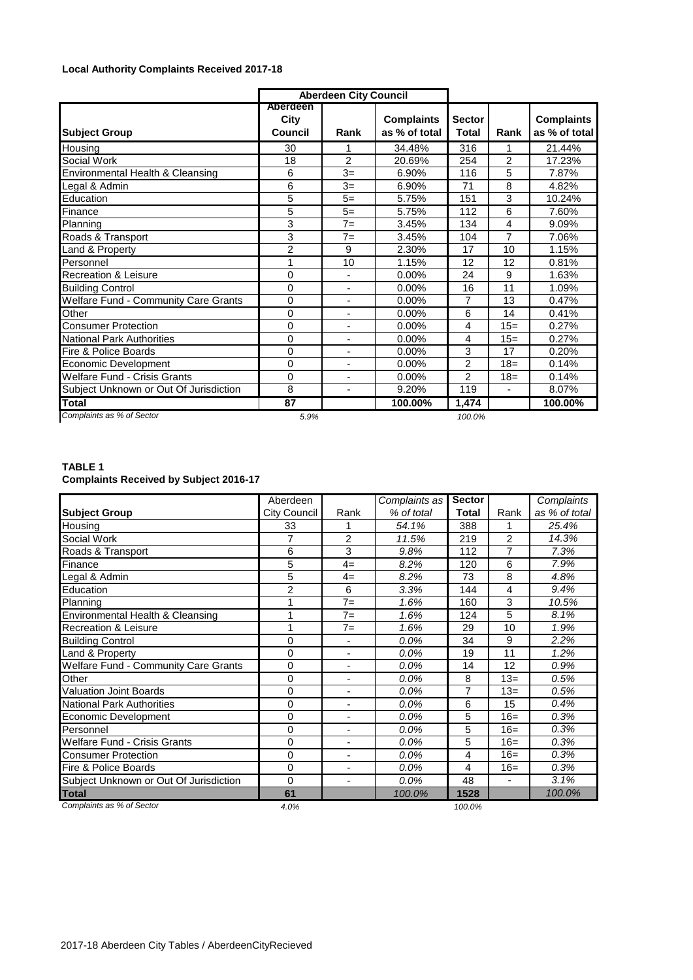## **Local Authority Complaints Received 2017-18**

|                                             | <b>Aberdeen City Council</b>       |                          |                                    |                               |                          |                                    |
|---------------------------------------------|------------------------------------|--------------------------|------------------------------------|-------------------------------|--------------------------|------------------------------------|
| <b>Subject Group</b>                        | Aberdeen<br>City<br><b>Council</b> | Rank                     | <b>Complaints</b><br>as % of total | <b>Sector</b><br><b>Total</b> | Rank                     | <b>Complaints</b><br>as % of total |
| Housing                                     | 30                                 | 1                        | 34.48%                             | 316                           | 1                        | 21.44%                             |
| Social Work                                 | 18                                 | $\mathfrak{p}$           | 20.69%                             | 254                           | 2                        | 17.23%                             |
| Environmental Health & Cleansing            | 6                                  | $3=$                     | 6.90%                              | 116                           | 5                        | 7.87%                              |
| Legal & Admin                               | 6                                  | $3=$                     | 6.90%                              | 71                            | 8                        | 4.82%                              |
| Education                                   | 5                                  | $5=$                     | 5.75%                              | 151                           | 3                        | 10.24%                             |
| Finance                                     | 5                                  | $5=$                     | 5.75%                              | 112                           | 6                        | 7.60%                              |
| Planning                                    | 3                                  | $7=$                     | 3.45%                              | 134                           | $\overline{4}$           | 9.09%                              |
| Roads & Transport                           | 3                                  | $7=$                     | 3.45%                              | 104                           | 7                        | 7.06%                              |
| and & Property                              | $\overline{2}$                     | 9                        | 2.30%                              | 17                            | 10                       | 1.15%                              |
| Personnel                                   | 1                                  | 10                       | 1.15%                              | 12                            | 12                       | 0.81%                              |
| <b>Recreation &amp; Leisure</b>             | $\mathbf 0$                        |                          | 0.00%                              | 24                            | 9                        | 1.63%                              |
| <b>Building Control</b>                     | $\Omega$                           | $\blacksquare$           | 0.00%                              | 16                            | 11                       | 1.09%                              |
| <b>Welfare Fund - Community Care Grants</b> | $\mathbf 0$                        | ٠                        | 0.00%                              | $\overline{7}$                | 13                       | 0.47%                              |
| Other                                       | $\Omega$                           | $\blacksquare$           | 0.00%                              | 6                             | 14                       | 0.41%                              |
| <b>Consumer Protection</b>                  | $\Omega$                           | ٠                        | 0.00%                              | 4                             | $15=$                    | 0.27%                              |
| <b>National Park Authorities</b>            | $\mathbf 0$                        |                          | 0.00%                              | 4                             | $15=$                    | 0.27%                              |
| Fire & Police Boards                        | $\mathbf 0$                        | $\blacksquare$           | 0.00%                              | 3                             | 17                       | 0.20%                              |
| <b>Economic Development</b>                 | $\Omega$                           | ٠                        | 0.00%                              | $\overline{2}$                | $18=$                    | 0.14%                              |
| Welfare Fund - Crisis Grants                | 0                                  | $\blacksquare$           | 0.00%                              | 2                             | $18 =$                   | 0.14%                              |
| Subject Unknown or Out Of Jurisdiction      | 8                                  | $\overline{\phantom{a}}$ | 9.20%                              | 119                           | $\overline{\phantom{a}}$ | 8.07%                              |
| <b>Total</b>                                | 87                                 |                          | 100.00%                            | 1,474                         |                          | 100.00%                            |
| Complaints as % of Sector                   | 5.9%                               |                          |                                    | 100.0%                        |                          |                                    |

## **TABLE 1 Complaints Received by Subject 2016-17**

|                                             | Aberdeen             |                | Complaints as | <b>Sector</b>  |                | Complaints    |  |
|---------------------------------------------|----------------------|----------------|---------------|----------------|----------------|---------------|--|
| <b>Subject Group</b>                        | City Council<br>Rank |                | % of total    | <b>Total</b>   | Rank           | as % of total |  |
| Housing                                     | 33                   | 1              | 54.1%         | 388            | 1              | 25.4%         |  |
| Social Work                                 | 7                    | $\overline{2}$ | 11.5%         | 219            | 2              | 14.3%         |  |
| Roads & Transport                           | 6                    | 3              | 9.8%          | 112            | $\overline{7}$ | 7.3%          |  |
| Finance                                     | 5                    | $4=$           | 8.2%          | 120            | 6              | 7.9%          |  |
| egal & Admin                                | 5                    | $4=$           | 8.2%          | 73             | 8              | 4.8%          |  |
| Education                                   | $\overline{2}$       | 6              | 3.3%          | 144            | 4              | 9.4%          |  |
| Planning                                    | 1                    | $7 =$          | 1.6%          | 160            | 3              | 10.5%         |  |
| Environmental Health & Cleansing            | 1                    | $7=$           | 1.6%          | 124            | 5              | 8.1%          |  |
| <b>Recreation &amp; Leisure</b>             | 1                    | $7=$           | 1.6%          | 29             | 10             | 1.9%          |  |
| <b>Building Control</b>                     | 0                    | ۰              | 0.0%          | 34             | 9              | 2.2%          |  |
| Land & Property                             | 0                    | ۰              | 0.0%          | 19             | 11             | 1.2%          |  |
| <b>Welfare Fund - Community Care Grants</b> | 0                    | ۰              | 0.0%          | 14             | 12             | 0.9%          |  |
| Other                                       | 0                    |                | 0.0%          | 8              | $13=$          | 0.5%          |  |
| <b>Valuation Joint Boards</b>               | 0                    | ۰              | 0.0%          | $\overline{7}$ | $13=$          | 0.5%          |  |
| <b>National Park Authorities</b>            | 0                    | ٠              | 0.0%          | 6              | 15             | 0.4%          |  |
| Economic Development                        | 0                    | ٠              | 0.0%          | 5              | $16=$          | 0.3%          |  |
| Personnel                                   | 0                    | ÷,             | 0.0%          | 5              | $16=$          | 0.3%          |  |
| <b>Welfare Fund - Crisis Grants</b>         | 0                    | ۰              | 0.0%          | 5              | $16=$          | 0.3%          |  |
| <b>Consumer Protection</b>                  | 0                    | ٠              | 0.0%          | 4              | $16=$          | 0.3%          |  |
| <b>Fire &amp; Police Boards</b>             | 0                    | ۰              | 0.0%          | 4              | $16=$          | 0.3%          |  |
| Subject Unknown or Out Of Jurisdiction      | 0                    | ä,             | 0.0%          | 48             | ä,             | 3.1%          |  |
| <b>Total</b>                                | 61                   |                | 100.0%        | 1528           |                | 100.0%        |  |
| Complaints as % of Sector                   | 4.0%                 |                |               | 100.0%         |                |               |  |